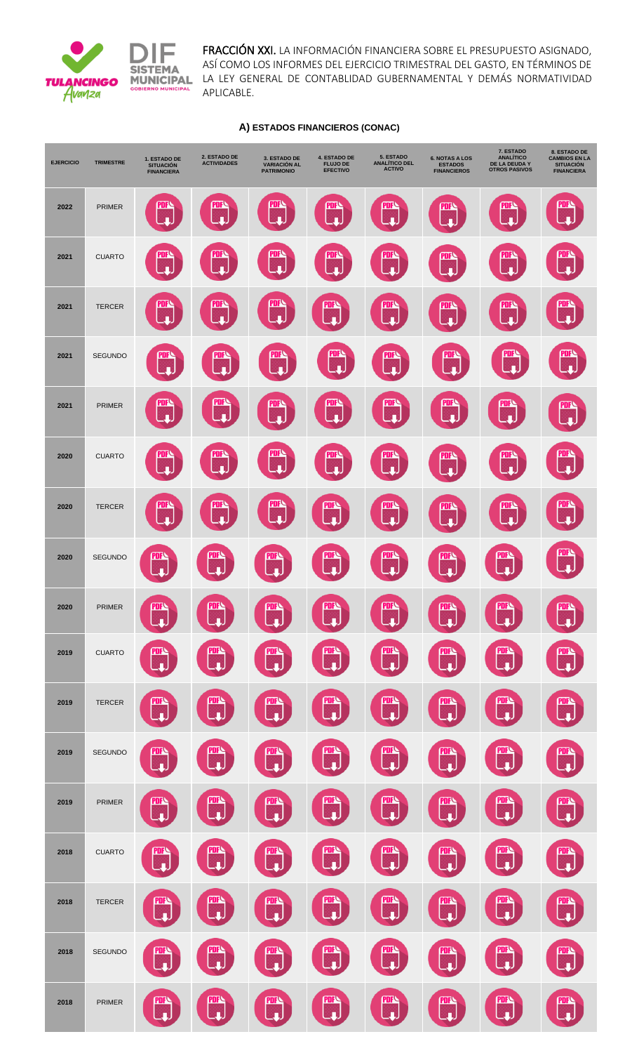

FRACCIÓN XXI. LA INFORMACIÓN FINANCIERA SOBRE EL PRESUPUESTO ASIGNADO, ASÍ COMO LOS INFORMES DEL EJERCICIO TRIMESTRAL DEL GASTO, EN TÉRMINOS DE LA LEY GENERAL DE CONTABLIDAD GUBERNAMENTAL Y DEMÁS NORMATIVIDAD APLICABLE.

## **A) ESTADOS FINANCIEROS (CONAC)**

| <b>EJERCICIO</b> | <b>TRIMESTRE</b> | 1. ESTADO DE<br><b>SITUACIÓN</b><br><b>FINANCIERA</b> | 2. ESTADO DE<br><b>ACTIVIDADES</b> | 3. ESTADO DE<br><b>VARIACIÓN AL</b><br><b>PATRIMONIO</b> | <b>4. ESTADO DE</b><br><b>FLUJO DE</b><br><b>EFECTIVO</b> | 5. ESTADO<br><b>ANALÍTICO DEL</b><br><b>ACTIVO</b> | <b>6. NOTAS A LOS</b><br><b>ESTADOS</b><br><b>FINANCIEROS</b> | 7. ESTADO<br><b>ANALÍTICO</b><br>DE LA DEUDA Y<br><b>OTROS PASIVOS</b> | 8. ESTADO DE<br><b>CAMBIOS EN LA</b><br><b>SITUACIÓN</b><br><b>FINANCIERA</b> |
|------------------|------------------|-------------------------------------------------------|------------------------------------|----------------------------------------------------------|-----------------------------------------------------------|----------------------------------------------------|---------------------------------------------------------------|------------------------------------------------------------------------|-------------------------------------------------------------------------------|
| 2022             | <b>PRIMER</b>    | ш                                                     | PDF                                | <u>PDI</u><br>п                                          | ш<br>п                                                    | <u>PDF</u><br>п                                    | PDF<br>п                                                      | <u>PDF</u><br>п                                                        | PUF<br>п                                                                      |
| 2021             | <b>CUARTO</b>    |                                                       | PDF<br>п                           | PDF<br>п                                                 | <b>PDF</b>                                                | PDF<br>п                                           | PDF<br>п                                                      | PDF<br>п                                                               | PDF<br>л                                                                      |
| 2021             | <b>TERCER</b>    | PDR                                                   | PDF                                | <b>PDF</b>                                               | PDF<br>п                                                  | PDF<br>п                                           | PDF                                                           | <u>PDF</u><br>п                                                        | PDF<br>л                                                                      |
| 2021             | <b>SEGUNDO</b>   |                                                       | PDF<br>п                           | PDF<br>п                                                 | PDF<br>п                                                  | <b>PDF</b><br>п                                    | (PDF<br>п                                                     | PDF                                                                    | <b>PDF</b><br>л                                                               |
| 2021             | <b>PRIMER</b>    | PDI                                                   | <b>PDF</b><br>л                    | PDF                                                      | <b>PDF</b><br>г                                           | <b>PDF</b>                                         | PDF                                                           | PDF                                                                    | PDF<br>п                                                                      |
| 2020             | <b>CUARTO</b>    | PDF                                                   | PDF                                | <u>PDF</u><br>п                                          | PDF<br>п                                                  | PDF<br>п                                           | PDF<br>п                                                      | <u>PDF</u><br>п                                                        | <u>PDF</u>                                                                    |
| 2020             | <b>TERCER</b>    | PDF                                                   | PDF<br>п                           | PDF<br>п                                                 | PDF<br>п                                                  | PDF<br>п                                           | PDF<br>п                                                      | <u>PDF</u><br>п                                                        | PDF<br>л                                                                      |
| 2020             | <b>SEGUNDO</b>   | PUF<br>п                                              | PDF<br>п                           | PDF<br>п                                                 | PDF<br>л                                                  | PDF<br>п                                           | <b>PDF</b><br>л                                               | PDF<br>л                                                               | <b>PDF</b><br>п                                                               |
| 2020             | PRIMER           | <b>PDF</b><br>لہ                                      | <b>PDF</b><br>لها                  | <b>PDF</b><br>J.                                         | <b>PDF</b><br>لډ                                          | <b>PDF</b><br>لډ                                   | <b>PDF</b><br>ل ب                                             | <b>PDF</b><br>لپ                                                       | <b>PDF</b><br>لها                                                             |
| 2019             | <b>CUARTO</b>    | <b>PDF</b><br>J.                                      | <b>PDF</b><br>$\hat{\mathbf{r}}$   | <b>PDF</b><br>u,                                         | <u>PDF</u><br>لي                                          | <u>PDF </u><br>L.                                  | <b>PDF</b><br>u,                                              | PDF<br>ú,                                                              | <b>PDF</b><br>لرب                                                             |
| 2019             | <b>TERCER</b>    | <u>PDF</u><br>ä                                       | <b>PDF</b><br>Ą.                   | <b>PDF</b><br>u,                                         | <u>PDF</u><br>L.                                          | <u>PDF</u><br>L.                                   | <b>PDF</b><br>L.                                              | PDF<br>u,                                                              | PDF<br>لها                                                                    |
| 2019             | SEGUNDO          | <u>PDF</u><br>л                                       | <b>PDF</b><br>a.                   | <b>PDF</b><br>u,                                         | <b>PDF</b><br>ú.                                          | <u>PDF</u><br>ú.                                   | <b>PDF</b><br>$\mathbf{r}$                                    | PDF<br>ú,                                                              | <b>PITS</b><br>لها                                                            |
| 2019             | PRIMER           | PDF<br>n                                              | <b>PDF</b><br>ú.                   | <b>PDF</b><br>u,                                         | <b>PDF</b><br>$\blacklozenge$                             | <u>PDF</u><br>L.                                   | PDF<br>$\mathbf{r}$                                           | <b>PDF</b><br>ú,                                                       | <b>PDF</b><br>لها                                                             |
| 2018             | <b>CUARTO</b>    | PDF<br>ú,                                             | <b>PDF</b><br>Ą                    | <u>PDF</u><br>$\mathbf{r}$                               | <u>PDF</u><br>u.                                          | <b>PDF</b><br>L.                                   | <u>PDF</u><br>u,                                              | PDF<br>ú,                                                              | $\mathbb{C}$                                                                  |
| 2018             | <b>TERCER</b>    | <u>PDF</u><br>$\mathbf{r}$                            | <b>PDF</b><br>ú.                   | <b>PDF</b><br>h                                          | <b>PDF</b><br>ú.                                          | <u>PDF</u><br>ú.                                   | <b>PDF<br/>Lul</b>                                            | <b>PDF</b><br>j.                                                       | 四                                                                             |
| 2018             | SEGUNDO          | PDF<br>$\mathbf{r}$                                   | <b>PDF</b><br>Ą                    | <b>PDF<sup>C</sup></b>                                   | <b>PDF</b><br>L.                                          | <b>PDF</b><br><u>n</u>                             | PDF<br>L.L.                                                   | <b>PDF</b><br>ú,                                                       | $\mathbb{C}$                                                                  |
| 2018             | PRIMER           | <u>PDF</u><br>L.                                      | <b>PDF</b><br>$\mathbf{I}$         | <b>PDF</b><br>$\mathbf{r}$                               | <b>PDF</b><br>L.                                          | <b>PDFN</b><br>LLL                                 | 四                                                             | <b>PDF<br/>State</b>                                                   | <b>PDF</b><br>u.                                                              |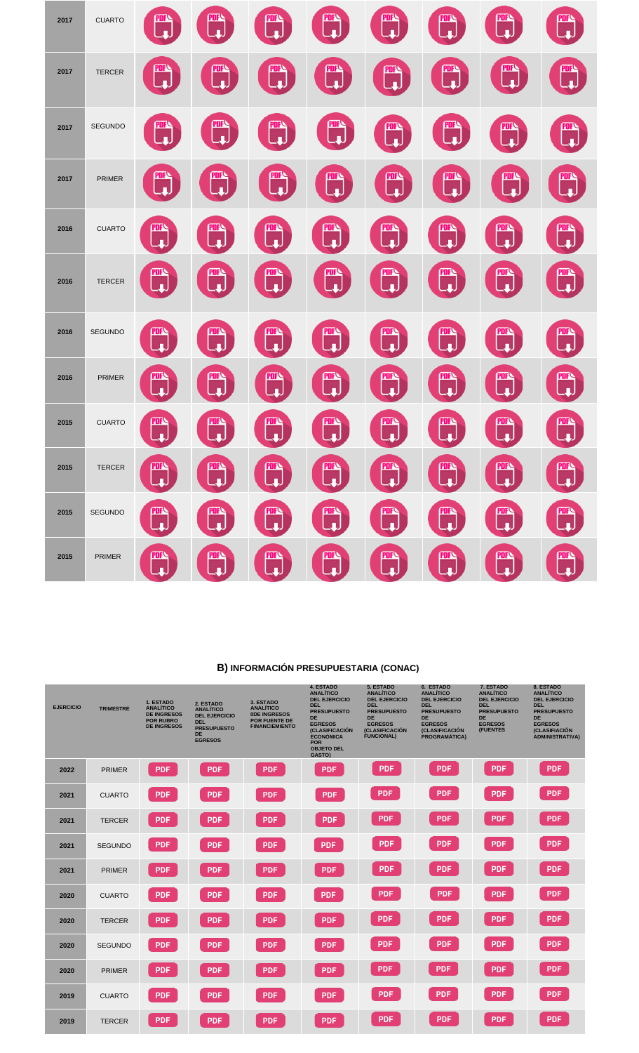| 2017 | <b>CUARTO</b>  | <u>PDF</u><br>$\mathbf{r}$ | <u>PDF</u><br>Ą               | <b>PDF</b><br>A             | <b>PDF</b><br>¢    | <u>PDF</u><br>A            | <b>PDF</b><br>u,                     | <b>PDF</b>                            | <b>PDF</b><br>L.    |
|------|----------------|----------------------------|-------------------------------|-----------------------------|--------------------|----------------------------|--------------------------------------|---------------------------------------|---------------------|
| 2017 | <b>TERCER</b>  | <u>PDF</u><br>L.           | <b>PDF</b><br>D               | <b>PDF</b><br>ليه           | <b>PDF</b><br>لود  | <b>PDF</b><br>L.           | <b>PDF</b><br>Ļ.                     | <b>PDF</b><br>$\overline{\mathbf{u}}$ | <b>FIRE</b>         |
| 2017 | <b>SEGUNDO</b> | <u>PDF</u><br>$\mathbf{r}$ | PDF<br>Ą.                     | <u>PDF</u><br>ú.            | <u>PDF</u><br>ä,   | <u>PDF</u><br>À            | <u>PDF</u><br>$\boldsymbol{\varphi}$ | <b>PDF</b><br>h                       | <b>PDF</b>          |
| 2017 | <b>PRIMER</b>  | <u>PDF</u><br>L.           | <b>PDF</b><br>L.              | <b>PDF</b><br>L.            | <b>PDF</b><br>L.   | <b>PDF</b><br>L.           | <b>PDF</b><br>$\blacklozenge$        | <b>PDF</b><br>L.                      | 四<br>ししし            |
| 2016 | <b>CUARTO</b>  | <u>PDF</u><br>п            | <b>PDF</b><br>u,              | <b>PDFN</b><br>La           | ni<br>Li           | <u>PDF</u><br>J.           | ti<br>Li                             | urs<br>- 무                            | œ                   |
| 2016 | <b>TERCER</b>  | <b>PDF</b><br>J            | <b>PDF</b><br>Ļ.              | 哑<br>ų,                     | 四                  | <b>PDF</b><br>$\mathbf{J}$ | urv<br>나                             | <b>PDFC</b><br>- U                    | <b>PDFS</b>         |
| 2016 | SEGUNDO        | <b>PDF</b><br>ú,           | <b>PDF</b><br>$\blacklozenge$ | <u>pory</u><br>$\mathbf{r}$ | PDF                | <u>PDF</u><br>ц.           | <b>PDF<sup>{</sup></b>               | <u>PDF</u><br>لروب                    | PDF<br>لي           |
| 2016 | <b>PRIMER</b>  | <b>PDF</b><br>п            | <b>PDF</b><br>$\blacklozenge$ | <b>PDF</b><br>$\mathbf{r}$  | <b>PDF</b><br>ú.   | <b>PDF</b><br>л            | <b>PDF</b><br>m                      | <u>PDF</u><br>L.                      | <b>PDF</b><br>لف    |
| 2015 | <b>CUARTO</b>  | <u>PDFS</u><br>ä           | <b>PDF</b><br>a,              | <b>PDF</b><br>A             | port<br>나          | <b>PDF</b><br>ú,           | <b>PDF</b><br>L.                     | <u>PDF</u><br>$\ddot{\phantom{0}}$    | <b>PDFN</b><br>Litr |
| 2015 | <b>TERCER</b>  | <b>PDFA</b><br>له          | <b>PDF</b><br>له.<br>Ч        | <b>PDF</b><br>له.           | <b>PITS</b><br>لها | <b>PDF</b><br>لې.          | <b>PDF</b><br>لها                    | <b>PTF</b><br>لها                     | 四<br>لها            |
| 2015 | SEGUNDO        | PDF                        | PDF                           | <b>PDF</b>                  | <u>PDF</u>         | <b>PDF</b>                 | <b>PDF</b>                           | PDF                                   | <b>PDF</b>          |
| 2015 | <b>PRIMER</b>  | PDF                        | PDF                           | PDF                         | <b>PDF</b><br>n    | PDF                        | <b>PDF</b>                           | PDF<br>À                              | <b>PDF</b>          |

## **B) INFORMACIÓN PRESUPUESTARIA (CONAC)**

| <b>EJERCICIO</b> | <b>TRIMESTRE</b> | 1. ESTADO<br><b>ANALÍTICO</b><br><b>DE INGRESOS</b><br><b>POR RUBRO</b><br><b>DE INGRESOS</b> | 2. ESTADO<br><b>ANALÍTICO</b><br><b>DEL EJERCICIO</b><br><b>DEL</b><br><b>PRESUPUESTO</b><br><b>DE</b><br><b>EGRESOS</b> | 3. ESTADO<br><b>ANALÍTICO</b><br><b>ODE INGRESOS</b><br><b>POR FUENTE DE</b><br><b>FINANCIEMIENTO</b> | 4. ESTADO<br><b>ANALÍTICO</b><br><b>DEL EJERCICIO</b><br><b>DEL</b><br><b>PRESUPUESTO</b><br><b>DE</b><br><b>EGRESOS</b><br><b>(CLASIFICACIÓN</b><br><b>ECONÓMICA</b><br><b>POR</b><br><b>OBJETO DEL</b><br>GASTO) | 5. ESTADO<br><b>ANALÍTICO</b><br><b>DEL EJERCICIO</b><br><b>DEL</b><br><b>PRESUPUESTO</b><br>DE.<br><b>EGRESOS</b><br><b>(CLASIFICACIÓN</b><br><b>FUNCIONAL)</b> | 6. ESTADO<br><b>ANALÍTICO</b><br><b>DEL EJERCICIO</b><br><b>DEL</b><br><b>PRESUPUESTO</b><br>DE.<br><b>EGRESOS</b><br><b>(CLASIFICACIÓN</b><br><b>PROGRAMÁTICA)</b> | 7. ESTADO<br><b>ANALÍTICO</b><br><b>DEL EJERCICIO</b><br><b>DEL</b><br><b>PRESUPUESTO</b><br><b>DE</b><br><b>EGRESOS</b><br>(FUENTES | 8. ESTADO<br><b>ANALÍTICO</b><br><b>DEL EJERCICIO</b><br><b>DEL</b><br><b>PRESUPUESTO</b><br><b>DE</b><br><b>EGRESOS</b><br>(CLASIFIACIÓN<br><b>ADMINISTRATIVA)</b> |
|------------------|------------------|-----------------------------------------------------------------------------------------------|--------------------------------------------------------------------------------------------------------------------------|-------------------------------------------------------------------------------------------------------|--------------------------------------------------------------------------------------------------------------------------------------------------------------------------------------------------------------------|------------------------------------------------------------------------------------------------------------------------------------------------------------------|---------------------------------------------------------------------------------------------------------------------------------------------------------------------|--------------------------------------------------------------------------------------------------------------------------------------|---------------------------------------------------------------------------------------------------------------------------------------------------------------------|
| 2022             | <b>PRIMER</b>    | <b>PDF</b>                                                                                    | <b>PDF</b>                                                                                                               | <b>PDF</b>                                                                                            | <b>PDF</b>                                                                                                                                                                                                         | <b>PDF</b>                                                                                                                                                       | <b>PDF</b>                                                                                                                                                          | <b>PDF</b>                                                                                                                           | <b>PDF</b>                                                                                                                                                          |
| 2021             | <b>CUARTO</b>    | <b>PDF</b>                                                                                    | <b>PDF</b>                                                                                                               | <b>PDF</b>                                                                                            | <b>PDF</b>                                                                                                                                                                                                         | <b>PDF</b>                                                                                                                                                       | PDF                                                                                                                                                                 | <b>PDF</b>                                                                                                                           | <b>PDF</b>                                                                                                                                                          |
| 2021             | <b>TERCER</b>    | <b>PDF</b>                                                                                    | PDF                                                                                                                      | <b>PDF</b>                                                                                            | <b>PDF</b>                                                                                                                                                                                                         | <b>PDF</b>                                                                                                                                                       | <b>PDF</b>                                                                                                                                                          | <b>PDF</b>                                                                                                                           | <b>PDF</b>                                                                                                                                                          |
| 2021             | <b>SEGUNDO</b>   | <b>PDF</b>                                                                                    | <b>PDF</b>                                                                                                               | <b>PDF</b>                                                                                            | <b>PDF</b>                                                                                                                                                                                                         | <b>PDF</b>                                                                                                                                                       | <b>PDF</b>                                                                                                                                                          | <b>PDF</b>                                                                                                                           | <b>PDF</b>                                                                                                                                                          |
| 2021             | <b>PRIMER</b>    | <b>PDF</b>                                                                                    | PDF                                                                                                                      | <b>PDF</b>                                                                                            | <b>PDF</b>                                                                                                                                                                                                         | <b>PDF</b>                                                                                                                                                       | <b>PDF</b>                                                                                                                                                          | <b>PDF</b>                                                                                                                           | <b>PDF</b>                                                                                                                                                          |
| 2020             | <b>CUARTO</b>    | <b>PDF</b>                                                                                    | PDF                                                                                                                      | <b>PDF</b>                                                                                            | <b>PDF</b>                                                                                                                                                                                                         | <b>PDF</b>                                                                                                                                                       | <b>PDF</b>                                                                                                                                                          | <b>PDF</b>                                                                                                                           | <b>PDF</b>                                                                                                                                                          |
| 2020             | <b>TERCER</b>    | <b>PDF</b>                                                                                    | <b>PDF</b>                                                                                                               | <b>PDF</b>                                                                                            | <b>PDF</b>                                                                                                                                                                                                         | <b>PDF</b>                                                                                                                                                       | <b>PDF</b>                                                                                                                                                          | <b>PDF</b>                                                                                                                           | <b>PDF</b>                                                                                                                                                          |
| 2020             | <b>SEGUNDO</b>   | <b>PDF</b>                                                                                    | <b>PDF</b>                                                                                                               | <b>PDF</b>                                                                                            | <b>PDF</b>                                                                                                                                                                                                         | <b>PDF</b>                                                                                                                                                       | <b>PDF</b>                                                                                                                                                          | <b>PDF</b>                                                                                                                           | <b>PDF</b>                                                                                                                                                          |
| 2020             | <b>PRIMER</b>    | PDF                                                                                           | <b>PDF</b>                                                                                                               | <b>PDF</b>                                                                                            | <b>PDF</b>                                                                                                                                                                                                         | <b>PDF</b>                                                                                                                                                       | <b>PDF</b>                                                                                                                                                          | <b>PDF</b>                                                                                                                           | <b>PDF</b>                                                                                                                                                          |
| 2019             | <b>CUARTO</b>    | <b>PDF</b>                                                                                    | <b>PDF</b>                                                                                                               | <b>PDF</b>                                                                                            | <b>PDF</b>                                                                                                                                                                                                         | PDF                                                                                                                                                              | <b>PDF</b>                                                                                                                                                          | <b>PDF</b>                                                                                                                           | <b>PDF</b>                                                                                                                                                          |
| 2019             | <b>TERCER</b>    | <b>PDF</b>                                                                                    | <b>PDF</b>                                                                                                               | <b>PDF</b>                                                                                            | <b>PDF</b>                                                                                                                                                                                                         | <b>PDF</b>                                                                                                                                                       | <b>PDF</b>                                                                                                                                                          | PDF                                                                                                                                  | <b>PDF</b>                                                                                                                                                          |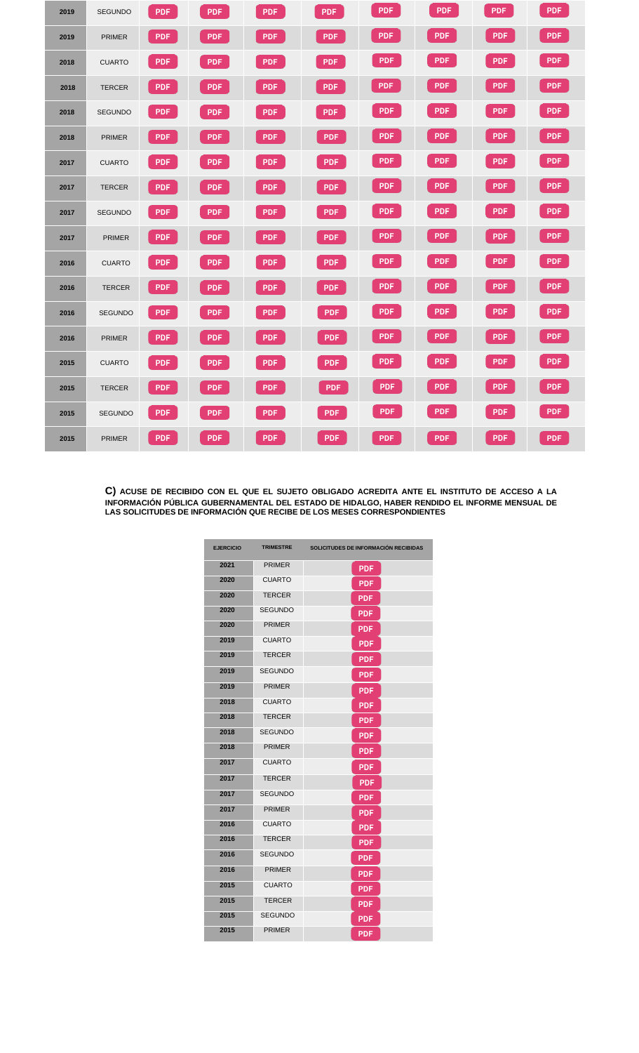| 2019 | <b>SEGUNDO</b> | <b>PDF</b> | <b>PDF</b> | <b>PDF</b> | <b>PDF</b> | <b>PDF</b> | <b>PDF</b> | <b>PDF</b> | <b>PDF</b> |
|------|----------------|------------|------------|------------|------------|------------|------------|------------|------------|
| 2019 | <b>PRIMER</b>  | <b>PDF</b> | <b>PDF</b> | <b>PDF</b> | <b>PDF</b> | <b>PDF</b> | <b>PDF</b> | <b>PDF</b> | <b>PDF</b> |
| 2018 | <b>CUARTO</b>  | <b>PDF</b> | <b>PDF</b> | <b>PDF</b> | <b>PDF</b> | <b>PDF</b> | <b>PDF</b> | <b>PDF</b> | <b>PDF</b> |
| 2018 | <b>TERCER</b>  | <b>PDF</b> | <b>PDF</b> | <b>PDF</b> | PDF        | <b>PDF</b> | <b>PDF</b> | PDF        | PDF        |
| 2018 | <b>SEGUNDO</b> | PDF        | <b>PDF</b> | <b>PDF</b> | PDF        | <b>PDF</b> | <b>PDF</b> | <b>PDF</b> | PDF        |
| 2018 | <b>PRIMER</b>  | <b>PDF</b> | <b>PDF</b> | PDF        | <b>PDF</b> | <b>PDF</b> | <b>PDF</b> | <b>PDF</b> | <b>PDF</b> |
| 2017 | <b>CUARTO</b>  | <b>PDF</b> | <b>PDF</b> | <b>PDF</b> | <b>PDF</b> | <b>PDF</b> | <b>PDF</b> | <b>PDF</b> | PDF        |
| 2017 | <b>TERCER</b>  | <b>PDF</b> | <b>PDF</b> | <b>PDF</b> | <b>PDF</b> | <b>PDF</b> | <b>PDF</b> | <b>PDF</b> | <b>PDF</b> |
| 2017 | <b>SEGUNDO</b> | <b>PDF</b> | <b>PDF</b> | <b>PDF</b> | <b>PDF</b> | <b>PDF</b> | <b>PDF</b> | PDF        | <b>PDF</b> |
| 2017 | <b>PRIMER</b>  | <b>PDF</b> | <b>PDF</b> | <b>PDF</b> | <b>PDF</b> | <b>PDF</b> | <b>PDF</b> | <b>PDF</b> | <b>PDF</b> |
| 2016 | <b>CUARTO</b>  | <b>PDF</b> | <b>PDF</b> | <b>PDF</b> | <b>PDF</b> | <b>PDF</b> | <b>PDF</b> | <b>PDF</b> | <b>PDF</b> |
| 2016 | <b>TERCER</b>  | <b>PDF</b> | <b>PDF</b> | <b>PDF</b> | <b>PDF</b> | <b>PDF</b> | <b>PDF</b> | <b>PDF</b> | <b>PDF</b> |
| 2016 | SEGUNDO        | <b>PDF</b> | <b>PDF</b> | PDF        | <b>PDF</b> | <b>PDF</b> | PDF        | PDF        | PDF        |
| 2016 | <b>PRIMER</b>  | <b>PDF</b> | <b>PDF</b> | <b>PDF</b> | <b>PDF</b> | <b>PDF</b> | <b>PDF</b> | <b>PDF</b> | PDF        |
| 2015 | <b>CUARTO</b>  | <b>PDF</b> | <b>PDF</b> | PDF        | <b>PDF</b> | <b>PDF</b> | PDF        | PDF        | <b>PDF</b> |
| 2015 | <b>TERCER</b>  | <b>PDF</b> | <b>PDF</b> | <b>PDF</b> | PDF        | <b>PDF</b> | PDF        | PDF        | PDF        |
| 2015 | <b>SEGUNDO</b> | <b>PDF</b> | <b>PDF</b> | <b>PDF</b> | <b>PDF</b> | PDF        | <b>PDF</b> | <b>PDF</b> | PDF        |
| 2015 | <b>PRIMER</b>  | <b>PDF</b> | <b>PDF</b> | PDF        | <b>PDF</b> | PDF        | PDF        | <b>PDF</b> | <b>PDF</b> |

**C) ACUSE DE RECIBIDO CON EL QUE EL SUJETO OBLIGADO ACREDITA ANTE EL INSTITUTO DE ACCESO A LA INFORMACIÓN PÚBLICA GUBERNAMENTAL DEL ESTADO DE HIDALGO, HABER RENDIDO EL INFORME MENSUAL DE LAS SOLICITUDES DE INFORMACIÓN QUE RECIBE DE LOS MESES CORRESPONDIENTES**

| <b>EJERCICIO</b> | <b>TRIMESTRE</b> | SOLICITUDES DE INFORMACIÓN RECIBIDAS |
|------------------|------------------|--------------------------------------|
| 2021             | <b>PRIMER</b>    | <b>PDF</b>                           |
| 2020             | <b>CUARTO</b>    | <b>PDF</b>                           |
| 2020             | <b>TERCER</b>    | <b>PDF</b>                           |
| 2020             | <b>SEGUNDO</b>   | <b>PDF</b>                           |
| 2020             | <b>PRIMER</b>    | <b>PDF</b>                           |
| 2019             | <b>CUARTO</b>    | <b>PDF</b>                           |
| 2019             | <b>TERCER</b>    | <b>PDF</b>                           |
| 2019             | <b>SEGUNDO</b>   | <b>PDF</b>                           |
| 2019             | <b>PRIMER</b>    | <b>PDF</b>                           |
| 2018             | <b>CUARTO</b>    | <b>PDF</b>                           |
| 2018             | <b>TERCER</b>    | <b>PDF</b>                           |
| 2018             | <b>SEGUNDO</b>   | <b>PDF</b>                           |
| 2018             | <b>PRIMER</b>    | <b>PDF</b>                           |
| 2017             | <b>CUARTO</b>    | <b>PDF</b>                           |
| 2017             | <b>TERCER</b>    | <b>PDF</b>                           |
| 2017             | <b>SEGUNDO</b>   | <b>PDF</b>                           |
| 2017             | <b>PRIMER</b>    | <b>PDF</b>                           |
| 2016             | <b>CUARTO</b>    | PDF                                  |
| 2016             | <b>TERCER</b>    | PDF                                  |
| 2016             | <b>SEGUNDO</b>   | <b>PDF</b>                           |
| 2016             | <b>PRIMER</b>    | <b>PDF</b>                           |
| 2015             | <b>CUARTO</b>    | <b>PDF</b>                           |
| 2015             | TERCER           | <b>PDF</b>                           |
| 2015             | <b>SEGUNDO</b>   | <b>PDF</b>                           |
| 2015             | <b>PRIMER</b>    | <b>PDF</b>                           |